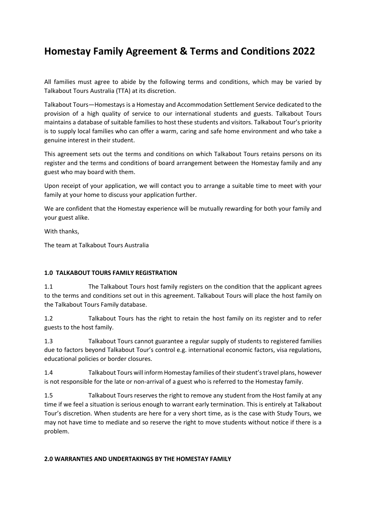# **Homestay Family Agreement & Terms and Conditions 2022**

All families must agree to abide by the following terms and conditions, which may be varied by Talkabout Tours Australia (TTA) at its discretion.

Talkabout Tours—Homestays is a Homestay and Accommodation Settlement Service dedicated to the provision of a high quality of service to our international students and guests. Talkabout Tours maintains a database of suitable families to host these students and visitors. Talkabout Tour's priority is to supply local families who can offer a warm, caring and safe home environment and who take a genuine interest in their student.

This agreement sets out the terms and conditions on which Talkabout Tours retains persons on its register and the terms and conditions of board arrangement between the Homestay family and any guest who may board with them.

Upon receipt of your application, we will contact you to arrange a suitable time to meet with your family at your home to discuss your application further.

We are confident that the Homestay experience will be mutually rewarding for both your family and your guest alike.

With thanks,

The team at Talkabout Tours Australia

## **1.0 TALKABOUT TOURS FAMILY REGISTRATION**

1.1 The Talkabout Tours host family registers on the condition that the applicant agrees to the terms and conditions set out in this agreement. Talkabout Tours will place the host family on the Talkabout Tours Family database.

1.2 Talkabout Tours has the right to retain the host family on its register and to refer guests to the host family.

1.3 Talkabout Tours cannot guarantee a regular supply of students to registered families due to factors beyond Talkabout Tour's control e.g. international economic factors, visa regulations, educational policies or border closures.

1.4 Talkabout Tours will inform Homestay families of their student's travel plans, however is not responsible for the late or non-arrival of a guest who is referred to the Homestay family.

1.5 Talkabout Tours reserves the right to remove any student from the Host family at any time if we feel a situation is serious enough to warrant early termination. This is entirely at Talkabout Tour's discretion. When students are here for a very short time, as is the case with Study Tours, we may not have time to mediate and so reserve the right to move students without notice if there is a problem.

## **2.0 WARRANTIES AND UNDERTAKINGS BY THE HOMESTAY FAMILY**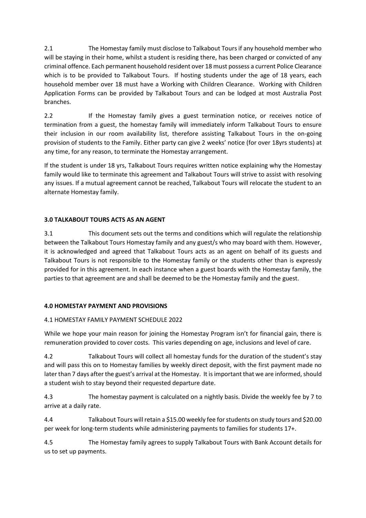2.1 The Homestay family must disclose to Talkabout Tours if any household member who will be staying in their home, whilst a student is residing there, has been charged or convicted of any criminal offence. Each permanent household resident over 18 must possess a current Police Clearance which is to be provided to Talkabout Tours. If hosting students under the age of 18 years, each household member over 18 must have a Working with Children Clearance. Working with Children Application Forms can be provided by Talkabout Tours and can be lodged at most Australia Post branches.

2.2 If the Homestay family gives a guest termination notice, or receives notice of termination from a guest, the homestay family will immediately inform Talkabout Tours to ensure their inclusion in our room availability list, therefore assisting Talkabout Tours in the on-going provision of students to the Family. Either party can give 2 weeks' notice (for over 18yrs students) at any time, for any reason, to terminate the Homestay arrangement.

If the student is under 18 yrs, Talkabout Tours requires written notice explaining why the Homestay family would like to terminate this agreement and Talkabout Tours will strive to assist with resolving any issues. If a mutual agreement cannot be reached, Talkabout Tours will relocate the student to an alternate Homestay family.

# **3.0 TALKABOUT TOURS ACTS AS AN AGENT**

3.1 This document sets out the terms and conditions which will regulate the relationship between the Talkabout Tours Homestay family and any guest/s who may board with them. However, it is acknowledged and agreed that Talkabout Tours acts as an agent on behalf of its guests and Talkabout Tours is not responsible to the Homestay family or the students other than is expressly provided for in this agreement. In each instance when a guest boards with the Homestay family, the parties to that agreement are and shall be deemed to be the Homestay family and the guest.

# **4.0 HOMESTAY PAYMENT AND PROVISIONS**

# 4.1 HOMESTAY FAMILY PAYMENT SCHEDULE 2022

While we hope your main reason for joining the Homestay Program isn't for financial gain, there is remuneration provided to cover costs. This varies depending on age, inclusions and level of care.

4.2 Talkabout Tours will collect all homestay funds for the duration of the student's stay and will pass this on to Homestay families by weekly direct deposit, with the first payment made no later than 7 days after the guest's arrival at the Homestay. It is important that we are informed, should a student wish to stay beyond their requested departure date.

4.3 The homestay payment is calculated on a nightly basis. Divide the weekly fee by 7 to arrive at a daily rate.

4.4 Talkabout Tours will retain a \$15.00 weekly fee for students on study tours and \$20.00 per week for long-term students while administering payments to families for students 17+.

4.5 The Homestay family agrees to supply Talkabout Tours with Bank Account details for us to set up payments.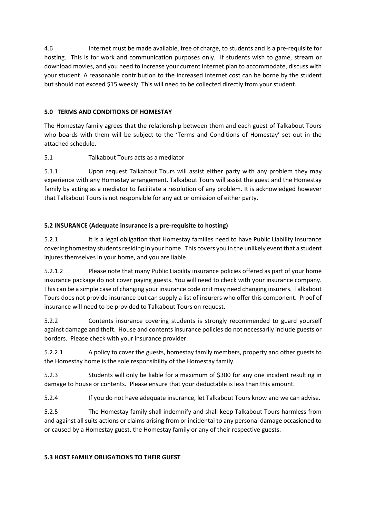4.6 Internet must be made available, free of charge, to students and is a pre-requisite for hosting. This is for work and communication purposes only. If students wish to game, stream or download movies, and you need to increase your current internet plan to accommodate, discuss with your student. A reasonable contribution to the increased internet cost can be borne by the student but should not exceed \$15 weekly. This will need to be collected directly from your student.

# **5.0 TERMS AND CONDITIONS OF HOMESTAY**

The Homestay family agrees that the relationship between them and each guest of Talkabout Tours who boards with them will be subject to the 'Terms and Conditions of Homestay' set out in the attached schedule.

5.1 Talkabout Tours acts as a mediator

5.1.1 Upon request Talkabout Tours will assist either party with any problem they may experience with any Homestay arrangement. Talkabout Tours will assist the guest and the Homestay family by acting as a mediator to facilitate a resolution of any problem. It is acknowledged however that Talkabout Tours is not responsible for any act or omission of either party.

# **5.2 INSURANCE (Adequate insurance is a pre-requisite to hosting)**

5.2.1 It is a legal obligation that Homestay families need to have Public Liability Insurance covering homestay students residing in your home. This covers you in the unlikely event that a student injures themselves in your home, and you are liable.

5.2.1.2 Please note that many Public Liability insurance policies offered as part of your home insurance package do not cover paying guests. You will need to check with your insurance company. This can be a simple case of changing your insurance code or it may need changing insurers. Talkabout Tours does not provide insurance but can supply a list of insurers who offer this component. Proof of insurance will need to be provided to Talkabout Tours on request.

5.2.2 Contents insurance covering students is strongly recommended to guard yourself against damage and theft. House and contents insurance policies do not necessarily include guests or borders. Please check with your insurance provider.

5.2.2.1 A policy to cover the guests, homestay family members, property and other guests to the Homestay home is the sole responsibility of the Homestay family.

5.2.3 Students will only be liable for a maximum of \$300 for any one incident resulting in damage to house or contents. Please ensure that your deductable is less than this amount.

5.2.4 If you do not have adequate insurance, let Talkabout Tours know and we can advise.

5.2.5 The Homestay family shall indemnify and shall keep Talkabout Tours harmless from and against all suits actions or claims arising from or incidental to any personal damage occasioned to or caused by a Homestay guest, the Homestay family or any of their respective guests.

## **5.3 HOST FAMILY OBLIGATIONS TO THEIR GUEST**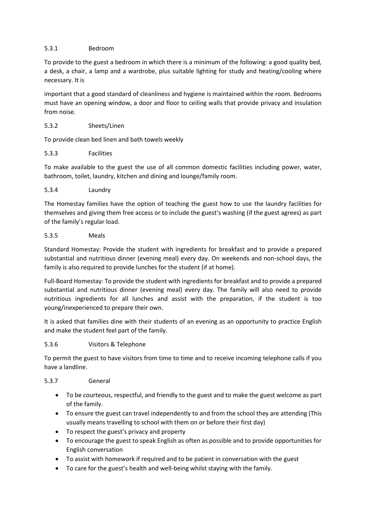## 5.3.1 Bedroom

To provide to the guest a bedroom in which there is a minimum of the following: a good quality bed, a desk, a chair, a lamp and a wardrobe, plus suitable lighting for study and heating/cooling where necessary. It is

important that a good standard of cleanliness and hygiene is maintained within the room. Bedrooms must have an opening window, a door and floor to ceiling walls that provide privacy and insulation from noise.

## 5.3.2 Sheets/Linen

To provide clean bed linen and bath towels weekly

#### 5.3.3 Facilities

To make available to the guest the use of all common domestic facilities including power, water, bathroom, toilet, laundry, kitchen and dining and lounge/family room.

#### 5.3.4 Laundry

The Homestay families have the option of teaching the guest how to use the laundry facilities for themselves and giving them free access or to include the guest's washing (if the guest agrees) as part of the family's regular load.

#### 5.3.5 Meals

Standard Homestay: Provide the student with ingredients for breakfast and to provide a prepared substantial and nutritious dinner (evening meal) every day. On weekends and non-school days, the family is also required to provide lunches for the student (if at home).

Full-Board Homestay: To provide the student with ingredients for breakfast and to provide a prepared substantial and nutritious dinner (evening meal) every day. The family will also need to provide nutritious ingredients for all lunches and assist with the preparation, if the student is too young/inexperienced to prepare their own.

It is asked that families dine with their students of an evening as an opportunity to practice English and make the student feel part of the family.

#### 5.3.6 Visitors & Telephone

To permit the guest to have visitors from time to time and to receive incoming telephone calls if you have a landline.

#### 5.3.7 General

- To be courteous, respectful, and friendly to the guest and to make the guest welcome as part of the family.
- To ensure the guest can travel independently to and from the school they are attending (This usually means travelling to school with them on or before their first day)
- To respect the guest's privacy and property
- To encourage the guest to speak English as often as possible and to provide opportunities for English conversation
- To assist with homework if required and to be patient in conversation with the guest
- To care for the guest's health and well-being whilst staying with the family.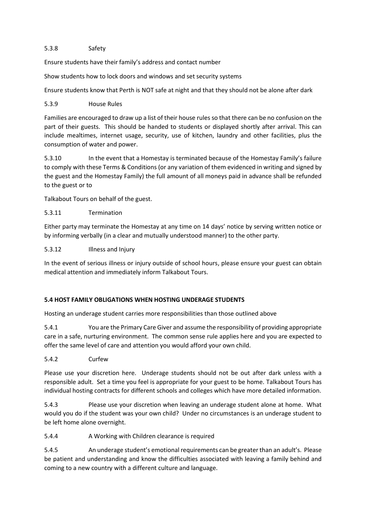## 5.3.8 Safety

Ensure students have their family's address and contact number

Show students how to lock doors and windows and set security systems

Ensure students know that Perth is NOT safe at night and that they should not be alone after dark

# 5.3.9 House Rules

Families are encouraged to draw up a list of their house rules so that there can be no confusion on the part of their guests. This should be handed to students or displayed shortly after arrival. This can include mealtimes, internet usage, security, use of kitchen, laundry and other facilities, plus the consumption of water and power.

5.3.10 In the event that a Homestay is terminated because of the Homestay Family's failure to comply with these Terms & Conditions (or any variation of them evidenced in writing and signed by the guest and the Homestay Family) the full amount of all moneys paid in advance shall be refunded to the guest or to

Talkabout Tours on behalf of the guest.

## 5.3.11 Termination

Either party may terminate the Homestay at any time on 14 days' notice by serving written notice or by informing verbally (in a clear and mutually understood manner) to the other party.

## 5.3.12 Illness and Injury

In the event of serious illness or injury outside of school hours, please ensure your guest can obtain medical attention and immediately inform Talkabout Tours.

# **5.4 HOST FAMILY OBLIGATIONS WHEN HOSTING UNDERAGE STUDENTS**

Hosting an underage student carries more responsibilities than those outlined above

5.4.1 You are the Primary Care Giver and assume the responsibility of providing appropriate care in a safe, nurturing environment. The common sense rule applies here and you are expected to offer the same level of care and attention you would afford your own child.

## 5.4.2 Curfew

Please use your discretion here. Underage students should not be out after dark unless with a responsible adult. Set a time you feel is appropriate for your guest to be home. Talkabout Tours has individual hosting contracts for different schools and colleges which have more detailed information.

5.4.3 Please use your discretion when leaving an underage student alone at home. What would you do if the student was your own child? Under no circumstances is an underage student to be left home alone overnight.

## 5.4.4 A Working with Children clearance is required

5.4.5 An underage student's emotional requirements can be greater than an adult's. Please be patient and understanding and know the difficulties associated with leaving a family behind and coming to a new country with a different culture and language.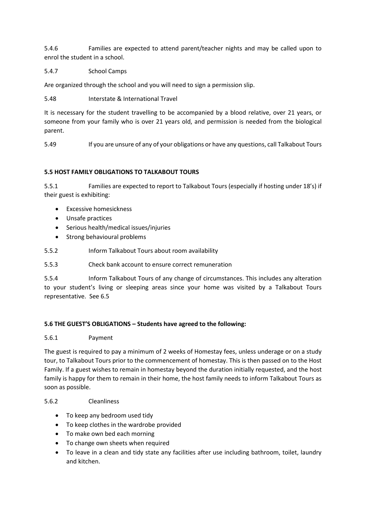5.4.6 Families are expected to attend parent/teacher nights and may be called upon to enrol the student in a school.

## 5.4.7 School Camps

Are organized through the school and you will need to sign a permission slip.

5.48 Interstate & International Travel

It is necessary for the student travelling to be accompanied by a blood relative, over 21 years, or someone from your family who is over 21 years old, and permission is needed from the biological parent.

5.49 If you are unsure of any of your obligations or have any questions, call Talkabout Tours

# **5.5 HOST FAMILY OBLIGATIONS TO TALKABOUT TOURS**

5.5.1 Families are expected to report to Talkabout Tours (especially if hosting under 18's) if their guest is exhibiting:

- Excessive homesickness
- Unsafe practices
- Serious health/medical issues/injuries
- Strong behavioural problems
- 5.5.2 Inform Talkabout Tours about room availability
- 5.5.3 Check bank account to ensure correct remuneration

5.5.4 Inform Talkabout Tours of any change of circumstances. This includes any alteration to your student's living or sleeping areas since your home was visited by a Talkabout Tours representative. See 6.5

## **5.6 THE GUEST'S OBLIGATIONS – Students have agreed to the following:**

## 5.6.1 Payment

The guest is required to pay a minimum of 2 weeks of Homestay fees, unless underage or on a study tour, to Talkabout Tours prior to the commencement of homestay. This is then passed on to the Host Family. If a guest wishes to remain in homestay beyond the duration initially requested, and the host family is happy for them to remain in their home, the host family needs to inform Talkabout Tours as soon as possible.

## 5.6.2 Cleanliness

- To keep any bedroom used tidy
- To keep clothes in the wardrobe provided
- To make own bed each morning
- To change own sheets when required
- To leave in a clean and tidy state any facilities after use including bathroom, toilet, laundry and kitchen.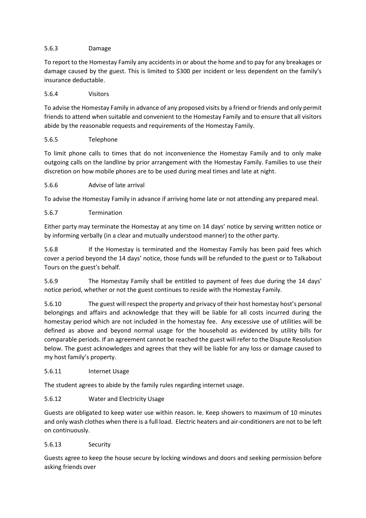## 5.6.3 Damage

To report to the Homestay Family any accidents in or about the home and to pay for any breakages or damage caused by the guest. This is limited to \$300 per incident or less dependent on the family's insurance deductable.

## 5.6.4 Visitors

To advise the Homestay Family in advance of any proposed visits by a friend or friends and only permit friends to attend when suitable and convenient to the Homestay Family and to ensure that all visitors abide by the reasonable requests and requirements of the Homestay Family.

# 5.6.5 Telephone

To limit phone calls to times that do not inconvenience the Homestay Family and to only make outgoing calls on the landline by prior arrangement with the Homestay Family. Families to use their discretion on how mobile phones are to be used during meal times and late at night.

# 5.6.6 Advise of late arrival

To advise the Homestay Family in advance if arriving home late or not attending any prepared meal.

# 5.6.7 Termination

Either party may terminate the Homestay at any time on 14 days' notice by serving written notice or by informing verbally (in a clear and mutually understood manner) to the other party.

5.6.8 If the Homestay is terminated and the Homestay Family has been paid fees which cover a period beyond the 14 days' notice, those funds will be refunded to the guest or to Talkabout Tours on the guest's behalf.

5.6.9 The Homestay Family shall be entitled to payment of fees due during the 14 days' notice period, whether or not the guest continues to reside with the Homestay Family.

5.6.10 The guest will respect the property and privacy of their host homestay host's personal belongings and affairs and acknowledge that they will be liable for all costs incurred during the homestay period which are not included in the homestay fee. Any excessive use of utilities will be defined as above and beyond normal usage for the household as evidenced by utility bills for comparable periods. If an agreement cannot be reached the guest will refer to the Dispute Resolution below. The guest acknowledges and agrees that they will be liable for any loss or damage caused to my host family's property.

## 5.6.11 Internet Usage

The student agrees to abide by the family rules regarding internet usage.

## 5.6.12 Water and Electricity Usage

Guests are obligated to keep water use within reason. Ie. Keep showers to maximum of 10 minutes and only wash clothes when there is a full load. Electric heaters and air-conditioners are not to be left on continuously.

## 5.6.13 Security

Guests agree to keep the house secure by locking windows and doors and seeking permission before asking friends over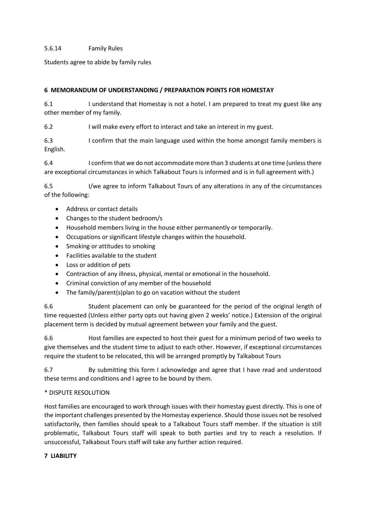#### 5.6.14 Family Rules

Students agree to abide by family rules

#### **6 MEMORANDUM OF UNDERSTANDING / PREPARATION POINTS FOR HOMESTAY**

6.1 I understand that Homestay is not a hotel. I am prepared to treat my guest like any other member of my family.

6.2 I will make every effort to interact and take an interest in my guest.

6.3 I confirm that the main language used within the home amongst family members is English.

6.4 I confirm that we do not accommodate more than 3 students at one time (unless there are exceptional circumstances in which Talkabout Tours is informed and is in full agreement with.)

6.5 I/we agree to inform Talkabout Tours of any alterations in any of the circumstances of the following:

- Address or contact details
- Changes to the student bedroom/s
- Household members living in the house either permanently or temporarily.
- Occupations or significant lifestyle changes within the household.
- Smoking or attitudes to smoking
- Facilities available to the student
- Loss or addition of pets
- Contraction of any illness, physical, mental or emotional in the household.
- Criminal conviction of any member of the household
- The family/parent(s)plan to go on vacation without the student

6.6 Student placement can only be guaranteed for the period of the original length of time requested (Unless either party opts out having given 2 weeks' notice.) Extension of the original placement term is decided by mutual agreement between your family and the guest.

6.6 Host families are expected to host their guest for a minimum period of two weeks to give themselves and the student time to adjust to each other. However, if exceptional circumstances require the student to be relocated, this will be arranged promptly by Talkabout Tours

6.7 By submitting this form I acknowledge and agree that I have read and understood these terms and conditions and I agree to be bound by them.

#### \* DISPUTE RESOLUTION

Host families are encouraged to work through issues with their homestay guest directly. This is one of the important challenges presented by the Homestay experience. Should those issues not be resolved satisfactorily, then families should speak to a Talkabout Tours staff member. If the situation is still problematic, Talkabout Tours staff will speak to both parties and try to reach a resolution. If unsuccessful, Talkabout Tours staff will take any further action required.

#### **7 LIABILITY**